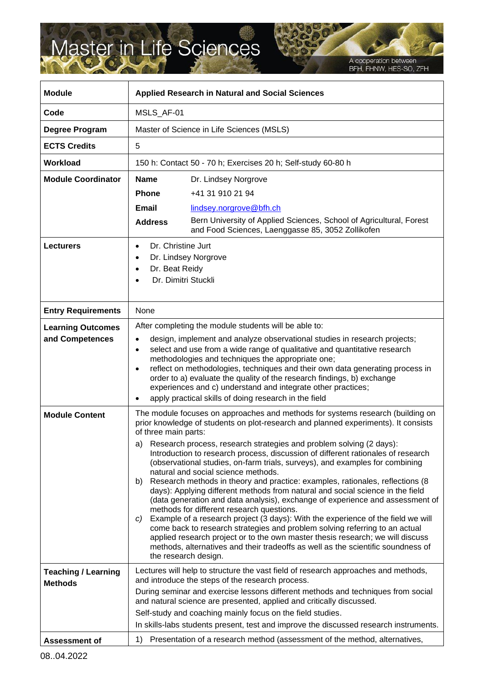## Master in Life Sciences

A cooperation between<br>BFH, FHNW, HES-SO, ZFH

| <b>Module</b>                                | <b>Applied Research in Natural and Social Sciences</b>                                                                                                                                                                                                                                                                                                                                                                                                                                                                                                                                                                                                                                                                                                                                                                                                                                                                                                                                                                                                                                                                                                              |
|----------------------------------------------|---------------------------------------------------------------------------------------------------------------------------------------------------------------------------------------------------------------------------------------------------------------------------------------------------------------------------------------------------------------------------------------------------------------------------------------------------------------------------------------------------------------------------------------------------------------------------------------------------------------------------------------------------------------------------------------------------------------------------------------------------------------------------------------------------------------------------------------------------------------------------------------------------------------------------------------------------------------------------------------------------------------------------------------------------------------------------------------------------------------------------------------------------------------------|
| Code                                         | MSLS_AF-01                                                                                                                                                                                                                                                                                                                                                                                                                                                                                                                                                                                                                                                                                                                                                                                                                                                                                                                                                                                                                                                                                                                                                          |
| Degree Program                               | Master of Science in Life Sciences (MSLS)                                                                                                                                                                                                                                                                                                                                                                                                                                                                                                                                                                                                                                                                                                                                                                                                                                                                                                                                                                                                                                                                                                                           |
| <b>ECTS Credits</b>                          | 5                                                                                                                                                                                                                                                                                                                                                                                                                                                                                                                                                                                                                                                                                                                                                                                                                                                                                                                                                                                                                                                                                                                                                                   |
| <b>Workload</b>                              | 150 h: Contact 50 - 70 h; Exercises 20 h; Self-study 60-80 h                                                                                                                                                                                                                                                                                                                                                                                                                                                                                                                                                                                                                                                                                                                                                                                                                                                                                                                                                                                                                                                                                                        |
| <b>Module Coordinator</b>                    | <b>Name</b><br>Dr. Lindsey Norgrove<br><b>Phone</b><br>+41 31 910 21 94<br>Email<br>lindsey.norgrove@bfh.ch<br>Bern University of Applied Sciences, School of Agricultural, Forest<br><b>Address</b><br>and Food Sciences, Laenggasse 85, 3052 Zollikofen                                                                                                                                                                                                                                                                                                                                                                                                                                                                                                                                                                                                                                                                                                                                                                                                                                                                                                           |
| <b>Lecturers</b>                             | Dr. Christine Jurt<br>Dr. Lindsey Norgrove<br>$\bullet$<br>Dr. Beat Reidy<br>Dr. Dimitri Stuckli                                                                                                                                                                                                                                                                                                                                                                                                                                                                                                                                                                                                                                                                                                                                                                                                                                                                                                                                                                                                                                                                    |
| <b>Entry Requirements</b>                    | None                                                                                                                                                                                                                                                                                                                                                                                                                                                                                                                                                                                                                                                                                                                                                                                                                                                                                                                                                                                                                                                                                                                                                                |
| <b>Learning Outcomes</b><br>and Competences  | After completing the module students will be able to:<br>design, implement and analyze observational studies in research projects;<br>$\bullet$<br>select and use from a wide range of qualitative and quantitative research<br>$\bullet$<br>methodologies and techniques the appropriate one;<br>reflect on methodologies, techniques and their own data generating process in<br>$\bullet$<br>order to a) evaluate the quality of the research findings, b) exchange<br>experiences and c) understand and integrate other practices;<br>apply practical skills of doing research in the field                                                                                                                                                                                                                                                                                                                                                                                                                                                                                                                                                                     |
| <b>Module Content</b>                        | The module focuses on approaches and methods for systems research (building on<br>prior knowledge of students on plot-research and planned experiments). It consists<br>of three main parts:<br>Research process, research strategies and problem solving (2 days):<br>a)<br>Introduction to research process, discussion of different rationales of research<br>(observational studies, on-farm trials, surveys), and examples for combining<br>natural and social science methods.<br>Research methods in theory and practice: examples, rationales, reflections (8)<br>b)<br>days): Applying different methods from natural and social science in the field<br>(data generation and data analysis), exchange of experience and assessment of<br>methods for different research questions.<br>Example of a research project (3 days): With the experience of the field we will<br>C)<br>come back to research strategies and problem solving referring to an actual<br>applied research project or to the own master thesis research; we will discuss<br>methods, alternatives and their tradeoffs as well as the scientific soundness of<br>the research design. |
| <b>Teaching / Learning</b><br><b>Methods</b> | Lectures will help to structure the vast field of research approaches and methods,<br>and introduce the steps of the research process.<br>During seminar and exercise lessons different methods and techniques from social<br>and natural science are presented, applied and critically discussed.<br>Self-study and coaching mainly focus on the field studies.<br>In skills-labs students present, test and improve the discussed research instruments.                                                                                                                                                                                                                                                                                                                                                                                                                                                                                                                                                                                                                                                                                                           |
| <b>Assessment of</b>                         | Presentation of a research method (assessment of the method, alternatives,<br>1)                                                                                                                                                                                                                                                                                                                                                                                                                                                                                                                                                                                                                                                                                                                                                                                                                                                                                                                                                                                                                                                                                    |